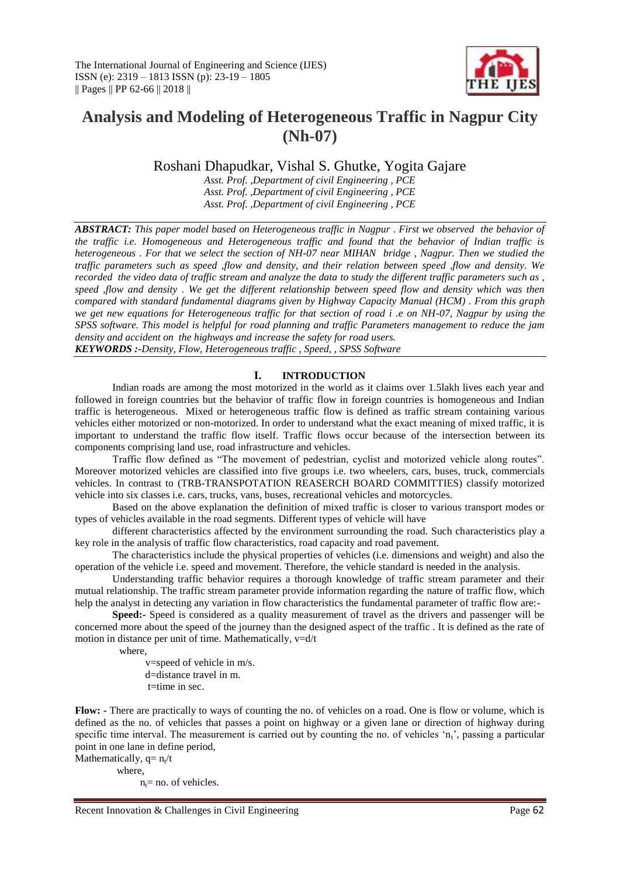

# **Analysis and Modeling of Heterogeneous Traffic in Nagpur City (Nh-07)**

Roshani Dhapudkar, Vishal S. Ghutke, Yogita Gajare

*Asst. Prof. ,Department of civil Engineering , PCE Asst. Prof. ,Department of civil Engineering , PCE Asst. Prof. ,Department of civil Engineering , PCE*

*ABSTRACT: This paper model based on Heterogeneous traffic in Nagpur . First we observed the behavior of the traffic i.e. Homogeneous and Heterogeneous traffic and found that the behavior of Indian traffic is heterogeneous . For that we select the section of NH-07 near MIHAN bridge , Nagpur. Then we studied the traffic parameters such as speed ,flow and density, and their relation between speed ,flow and density. We recorded the video data of traffic stream and analyze the data to study the different traffic parameters such as , speed ,flow and density . We get the different relationship between speed flow and density which was then compared with standard fundamental diagrams given by Highway Capacity Manual (HCM) . From this graph we get new equations for Heterogeneous traffic for that section of road i .e on NH-07, Nagpur by using the SPSS software. This model is helpful for road planning and traffic Parameters management to reduce the jam density and accident on the highways and increase the safety for road users. KEYWORDS :-Density, Flow, Heterogeneous traffic , Speed, , SPSS Software*

# **I. INTRODUCTION**

Indian roads are among the most motorized in the world as it claims over 1.5lakh lives each year and followed in foreign countries but the behavior of traffic flow in foreign countries is homogeneous and Indian traffic is heterogeneous. Mixed or heterogeneous traffic flow is defined as traffic stream containing various vehicles either motorized or non-motorized. In order to understand what the exact meaning of mixed traffic, it is important to understand the traffic flow itself. Traffic flows occur because of the intersection between its components comprising land use, road infrastructure and vehicles.

Traffic flow defined as "The movement of pedestrian, cyclist and motorized vehicle along routes". Moreover motorized vehicles are classified into five groups i.e. two wheelers, cars, buses, truck, commercials vehicles. In contrast to (TRB-TRANSPOTATION REASERCH BOARD COMMITTIES) classify motorized vehicle into six classes i.e. cars, trucks, vans, buses, recreational vehicles and motorcycles.

Based on the above explanation the definition of mixed traffic is closer to various transport modes or types of vehicles available in the road segments. Different types of vehicle will have

different characteristics affected by the environment surrounding the road. Such characteristics play a key role in the analysis of traffic flow characteristics, road capacity and road pavement.

The characteristics include the physical properties of vehicles (i.e. dimensions and weight) and also the operation of the vehicle i.e. speed and movement. Therefore, the vehicle standard is needed in the analysis.

Understanding traffic behavior requires a thorough knowledge of traffic stream parameter and their mutual relationship. The traffic stream parameter provide information regarding the nature of traffic flow, which help the analyst in detecting any variation in flow characteristics the fundamental parameter of traffic flow are:-

**Speed:-** Speed is considered as a quality measurement of travel as the drivers and passenger will be concerned more about the speed of the journey than the designed aspect of the traffic . It is defined as the rate of motion in distance per unit of time. Mathematically,  $v=d/t$ 

where,

 v=speed of vehicle in m/s. d=distance travel in m. t=time in sec.

**Flow: -** There are practically to ways of counting the no. of vehicles on a road. One is flow or volume, which is defined as the no. of vehicles that passes a point on highway or a given lane or direction of highway during specific time interval. The measurement is carried out by counting the no. of vehicles ' $n_t$ ', passing a particular point in one lane in define period,

Mathematically,  $q = n_t/t$  where,  $n_0$  = no. of vehicles.

Recent Innovation & Challenges in Civil Engineering Page 62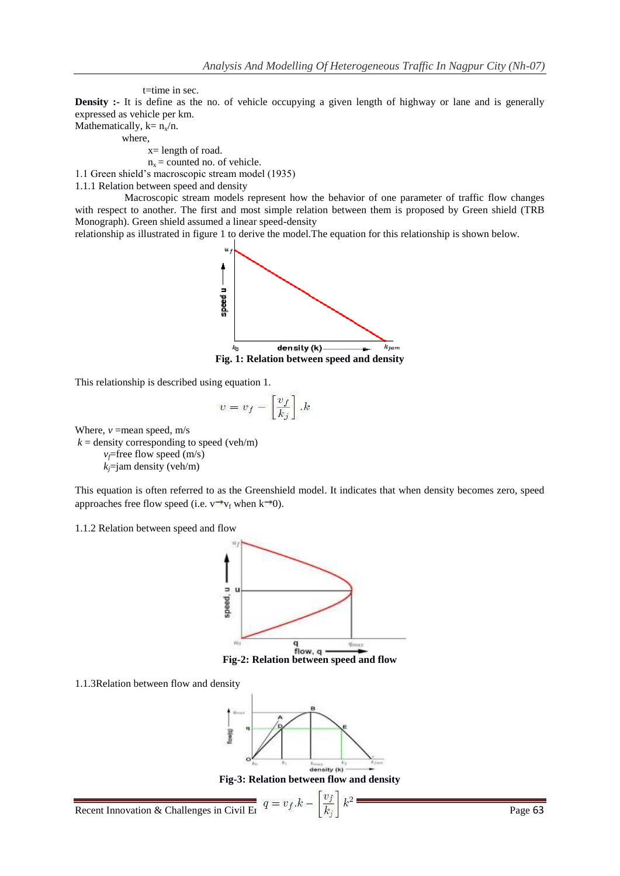t=time in sec.

**Density :-** It is define as the no. of vehicle occupying a given length of highway or lane and is generally expressed as vehicle per km.

Mathematically,  $k = n_x/n$ .

where,

x= length of road.

 $n_x$  = counted no. of vehicle.

1.1 Green shield"s macroscopic stream model (1935)

1.1.1 Relation between speed and density

 Macroscopic stream models represent how the behavior of one parameter of traffic flow changes with respect to another. The first and most simple relation between them is proposed by Green shield (TRB Monograph). Green shield assumed a linear speed-density

relationship as illustrated in figure 1 to derive the model.The equation for this relationship is shown below.



This relationship is described using equation 1.

$$
v = v_f - \left[\frac{v_f}{k_j}\right].k
$$

Where,  $v =$ mean speed, m/s

 $k =$  density corresponding to speed (veh/m)  $v_f$ =free flow speed (m/s)  $k_j$ =jam density (veh/m)

This equation is often referred to as the Greenshield model. It indicates that when density becomes zero, speed approaches free flow speed (i.e.  $v \rightarrow v_f$  when k o).

1.1.2 Relation between speed and flow



1.1.3Relation between flow and density



**Fig-3: Relation between flow and density**

Recent Innovation & Challenges in Civil Engineering  $q = v_f.k - \left[\frac{v_f}{k_i}\right]k^2$  Page 63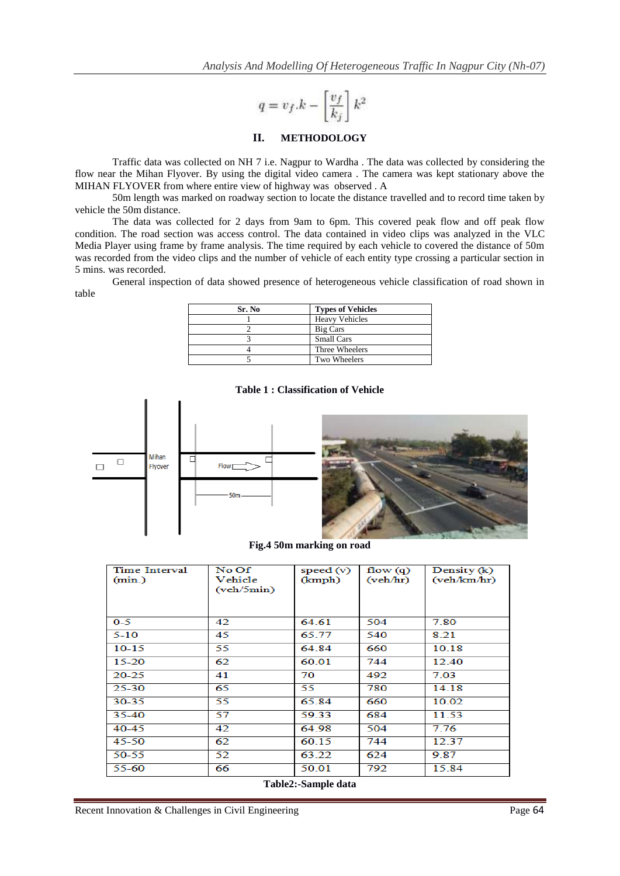$$
q=v_f.k-\left[\frac{v_f}{k_j}\right]k^2
$$

# **II. METHODOLOGY**

Traffic data was collected on NH 7 i.e. Nagpur to Wardha . The data was collected by considering the flow near the Mihan Flyover. By using the digital video camera . The camera was kept stationary above the MIHAN FLYOVER from where entire view of highway was observed . A

50m length was marked on roadway section to locate the distance travelled and to record time taken by vehicle the 50m distance.

The data was collected for 2 days from 9am to 6pm. This covered peak flow and off peak flow condition. The road section was access control. The data contained in video clips was analyzed in the VLC Media Player using frame by frame analysis. The time required by each vehicle to covered the distance of 50m was recorded from the video clips and the number of vehicle of each entity type crossing a particular section in 5 mins. was recorded.

General inspection of data showed presence of heterogeneous vehicle classification of road shown in table

| Sr. No | <b>Types of Vehicles</b> |
|--------|--------------------------|
|        | <b>Heavy Vehicles</b>    |
|        | Big Cars                 |
|        | <b>Small Cars</b>        |
|        | Three Wheelers           |
|        | Two Wheelers             |

## **Table 1 : Classification of Vehicle**



**Fig.4 50m marking on road**

| <b>Time Interval</b><br>(min.) | No Of<br>Vehicle<br>(veh/5min) | speed $(v)$<br>(kmph) | flow $(q)$<br>(veh/hr) | Density (k)<br>(veh/km/hr) |
|--------------------------------|--------------------------------|-----------------------|------------------------|----------------------------|
| $0 - 5$                        | 42                             | 64.61                 | 504                    | 7.80                       |
| $5 - 10$                       | 45                             | 65.77                 | 540                    | 8.21                       |
| $10-15$                        | 55                             | 64.84                 | 660                    | 10.18                      |
| $15 - 20$                      | 62                             | 60.01                 | 744                    | 12.40                      |
| $20 - 25$                      | 41                             | 70                    | 492                    | 7.03                       |
| 25-30                          | 65                             | 55                    | 780                    | 14.18                      |
| 30-35                          | 55                             | 65.84                 | 660                    | 10.02                      |
| 35-40                          | 57                             | 59.33                 | 684                    | 11.53                      |
| 40-45                          | 42                             | 64.98                 | 504                    | 7.76                       |
| 45-50                          | 62                             | 60.15                 | 744                    | 12.37                      |
| 50-55                          | 52                             | 63.22                 | 624                    | 9.87                       |
| 55-60                          | 66                             | 50.01                 | 792                    | 15.84                      |

**Table2:-Sample data**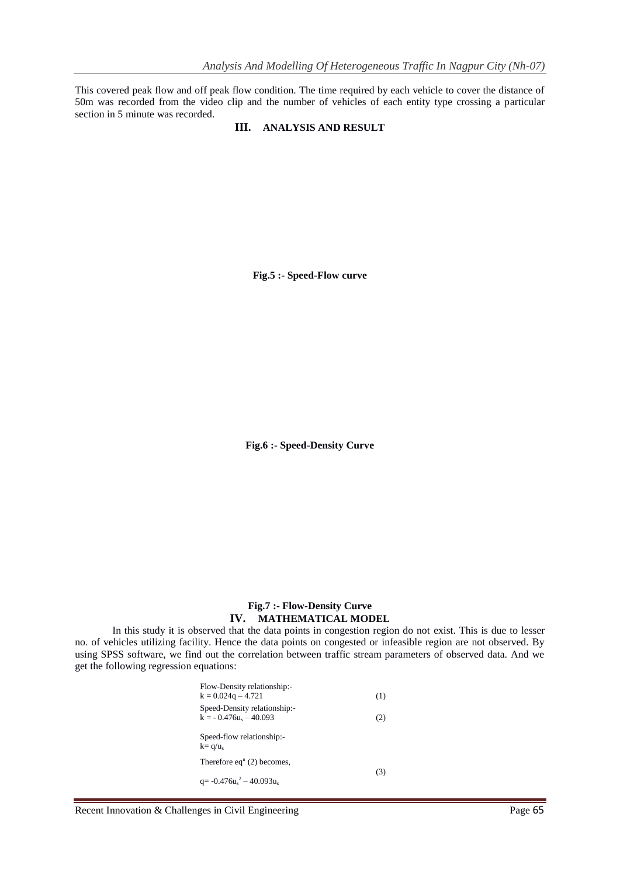This covered peak flow and off peak flow condition. The time required by each vehicle to cover the distance of 50m was recorded from the video clip and the number of vehicles of each entity type crossing a particular section in 5 minute was recorded.

## **III. ANALYSIS AND RESULT**

**Fig.5 :- Speed-Flow curve**

**Fig.6 :- Speed-Density Curve**

# **Fig.7 :- Flow-Density Curve IV. MATHEMATICAL MODEL**

In this study it is observed that the data points in congestion region do not exist. This is due to lesser no. of vehicles utilizing facility. Hence the data points on congested or infeasible region are not observed. By using SPSS software, we find out the correlation between traffic stream parameters of observed data. And we get the following regression equations:

| Flow-Density relationship:-<br>$k = 0.024q - 4.721$      | (1) |
|----------------------------------------------------------|-----|
| Speed-Density relationship:-<br>$k = -0.476u_s - 40.093$ | (2) |
| Speed-flow relationship:-<br>$k = q/u_s$                 |     |
| Therefore $eqn$ (2) becomes,                             |     |
| q= $-0.476u_s^2 - 40.093u_s$                             | (3) |